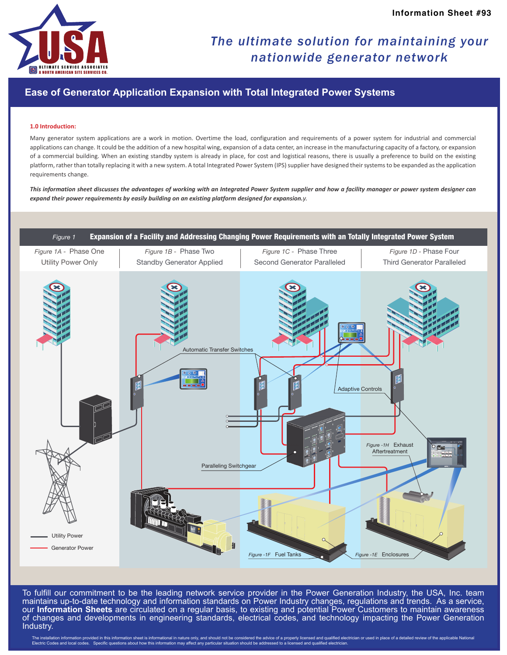

## *The ultimate solution for maintaining your nationwide generator network*

### **Ease of Generator Application Expansion with Total Integrated Power Systems**

#### **1.0 Introduction:**

Many generator system applications are a work in motion. Overtime the load, configuration and requirements of a power system for industrial and commercial applications can change. It could be the addition of a new hospital wing, expansion of a data center, an increase in the manufacturing capacity of a factory, or expansion of a commercial building. When an existing standby system is already in place, for cost and logistical reasons, there is usually a preference to build on the existing platform, rather than totally replacing it with a new system. A total Integrated Power System (IPS) supplier have designed their systems to be expanded as the application requirements change.

*This information sheet discusses the advantages of working with an Integrated Power System supplier and how a facility manager or power system designer can expand their power requirements by easily building on an existing platform designed for expansion.y.*



To fulfill our commitment to be the leading network service provider in the Power Generation Industry, the USA, Inc. team maintains up-to-date technology and information standards on Power Industry changes, regulations and trends. As a service, our **Information Sheets** are circulated on a regular basis, to existing and potential Power Customers to maintain awareness of changes and developments in engineering standards, electrical codes, and technology impacting the Power Generation Industry.